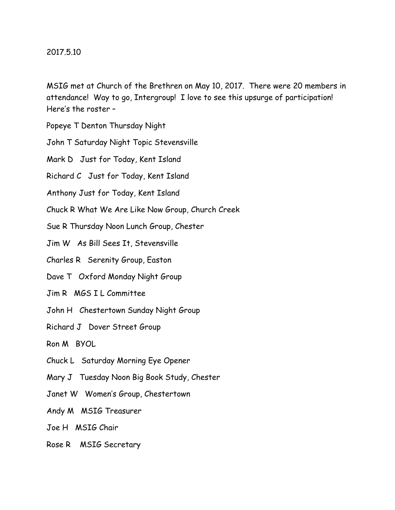## 2017.5.10

MSIG met at Church of the Brethren on May 10, 2017. There were 20 members in attendance! Way to go, Intergroup! I love to see this upsurge of participation! Here's the roster –

Popeye T Denton Thursday Night

John T Saturday Night Topic Stevensville

Mark D Just for Today, Kent Island

Richard C Just for Today, Kent Island

Anthony Just for Today, Kent Island

Chuck R What We Are Like Now Group, Church Creek

Sue R Thursday Noon Lunch Group, Chester

Jim W As Bill Sees It, Stevensville

Charles R Serenity Group, Easton

Dave T Oxford Monday Night Group

Jim R MGS I L Committee

John H Chestertown Sunday Night Group

Richard J Dover Street Group

Ron M BYOL

Chuck L Saturday Morning Eye Opener

Mary J Tuesday Noon Big Book Study, Chester

Janet W Women's Group, Chestertown

Andy M MSIG Treasurer

Joe H MSIG Chair

Rose R MSIG Secretary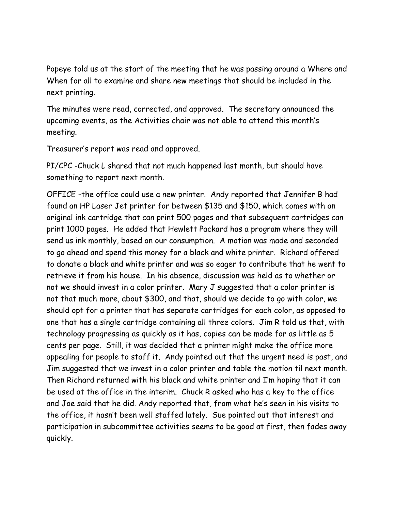Popeye told us at the start of the meeting that he was passing around a Where and When for all to examine and share new meetings that should be included in the next printing.

The minutes were read, corrected, and approved. The secretary announced the upcoming events, as the Activities chair was not able to attend this month's meeting.

Treasurer's report was read and approved.

PI/CPC -Chuck L shared that not much happened last month, but should have something to report next month.

OFFICE -the office could use a new printer. Andy reported that Jennifer B had found an HP Laser Jet printer for between \$135 and \$150, which comes with an original ink cartridge that can print 500 pages and that subsequent cartridges can print 1000 pages. He added that Hewlett Packard has a program where they will send us ink monthly, based on our consumption. A motion was made and seconded to go ahead and spend this money for a black and white printer. Richard offered to donate a black and white printer and was so eager to contribute that he went to retrieve it from his house. In his absence, discussion was held as to whether or not we should invest in a color printer. Mary J suggested that a color printer is not that much more, about \$300, and that, should we decide to go with color, we should opt for a printer that has separate cartridges for each color, as opposed to one that has a single cartridge containing all three colors. Jim R told us that, with technology progressing as quickly as it has, copies can be made for as little as 5 cents per page. Still, it was decided that a printer might make the office more appealing for people to staff it. Andy pointed out that the urgent need is past, and Jim suggested that we invest in a color printer and table the motion til next month. Then Richard returned with his black and white printer and I'm hoping that it can be used at the office in the interim. Chuck R asked who has a key to the office and Joe said that he did. Andy reported that, from what he's seen in his visits to the office, it hasn't been well staffed lately. Sue pointed out that interest and participation in subcommittee activities seems to be good at first, then fades away quickly.